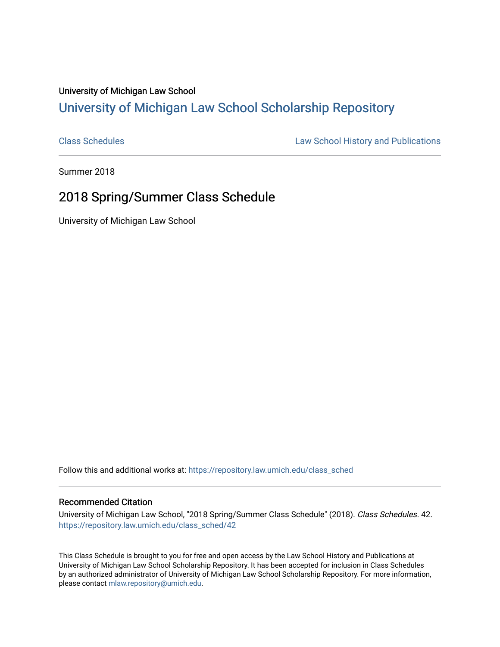## University of Michigan Law School [University of Michigan Law School Scholarship Repository](https://repository.law.umich.edu/)

[Class Schedules](https://repository.law.umich.edu/class_sched) **Law School History and Publications** 

Summer 2018

### 2018 Spring/Summer Class Schedule

University of Michigan Law School

Follow this and additional works at: [https://repository.law.umich.edu/class\\_sched](https://repository.law.umich.edu/class_sched?utm_source=repository.law.umich.edu%2Fclass_sched%2F42&utm_medium=PDF&utm_campaign=PDFCoverPages) 

#### Recommended Citation

University of Michigan Law School, "2018 Spring/Summer Class Schedule" (2018). Class Schedules. 42. [https://repository.law.umich.edu/class\\_sched/42](https://repository.law.umich.edu/class_sched/42?utm_source=repository.law.umich.edu%2Fclass_sched%2F42&utm_medium=PDF&utm_campaign=PDFCoverPages)

This Class Schedule is brought to you for free and open access by the Law School History and Publications at University of Michigan Law School Scholarship Repository. It has been accepted for inclusion in Class Schedules by an authorized administrator of University of Michigan Law School Scholarship Repository. For more information, please contact [mlaw.repository@umich.edu.](mailto:mlaw.repository@umich.edu)